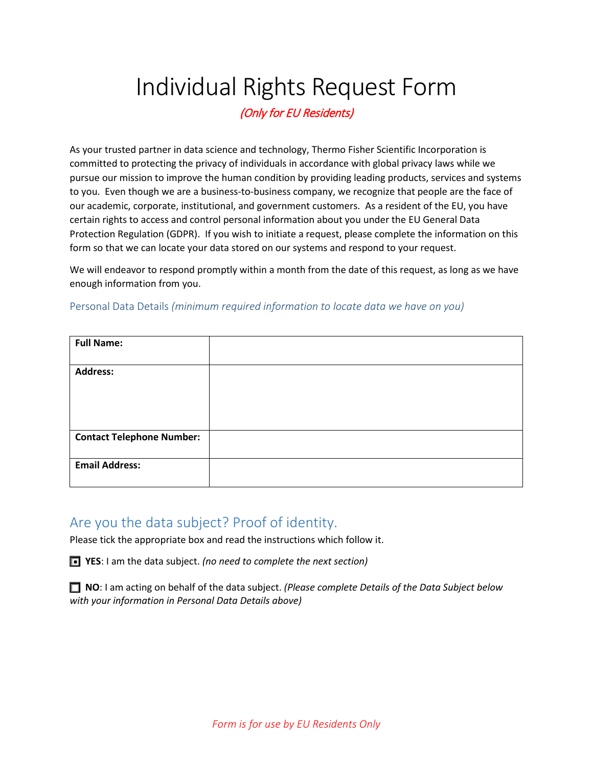# Individual Rights Request Form

(Only for EU Residents)

As your trusted partner in data science and technology, Thermo Fisher Scientific Incorporation is committed to protecting the privacy of individuals in accordance with global privacy laws while we pursue our mission to improve the human condition by providing leading products, services and systems to you. Even though we are a business-to-business company, we recognize that people are the face of our academic, corporate, institutional, and government customers. As a resident of the EU, you have certain rights to access and control personal information about you under the EU General Data Protection Regulation (GDPR). If you wish to initiate a request, please complete the information on this form so that we can locate your data stored on our systems and respond to your request.

We will endeavor to respond promptly within a month from the date of this request, as long as we have enough information from you.

Personal Data Details *(minimum required information to locate data we have on you)*

| <b>Full Name:</b>                |  |
|----------------------------------|--|
| <b>Address:</b>                  |  |
|                                  |  |
|                                  |  |
| <b>Contact Telephone Number:</b> |  |
| <b>Email Address:</b>            |  |

## Are you the data subject? Proof of identity.

Please tick the appropriate box and read the instructions which follow it.

■ YES: I am the data subject. (no need to complete the next section)

 **NO**: I am acting on behalf of the data subject. *(Please complete Details of the Data Subject below with your information in Personal Data Details above)*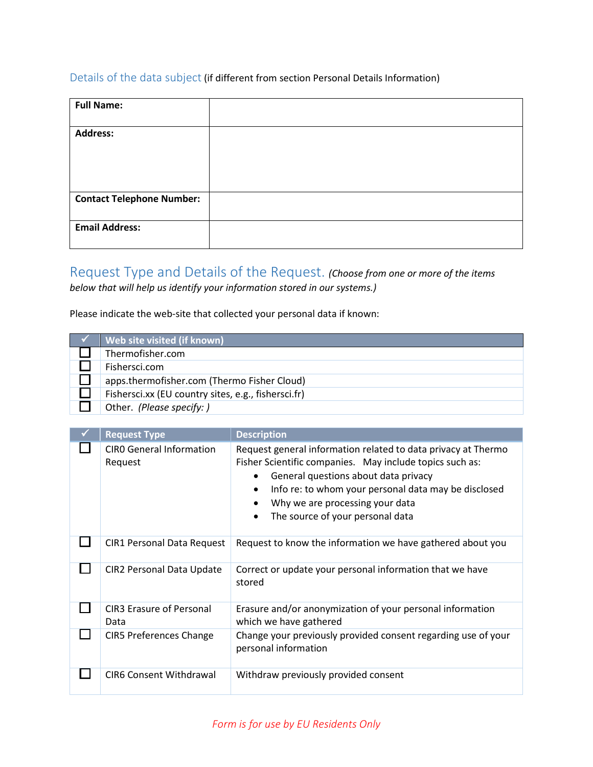### Details of the data subject (if different from section Personal Details Information)

| <b>Full Name:</b>                |  |
|----------------------------------|--|
| <b>Address:</b>                  |  |
|                                  |  |
|                                  |  |
| <b>Contact Telephone Number:</b> |  |
| <b>Email Address:</b>            |  |

# Request Type and Details of the Request. *(Choose from one or more of the items*

*below that will help us identify your information stored in our systems.)*

### Please indicate the web-site that collected your personal data if known:

| Web site visited (if known)                         |  |
|-----------------------------------------------------|--|
| Thermofisher.com                                    |  |
| Fishersci.com                                       |  |
| apps.thermofisher.com (Thermo Fisher Cloud)         |  |
| Fishersci.xx (EU country sites, e.g., fishersci.fr) |  |
| Other. (Please specify: )                           |  |

| <b>Request Type</b>                        | <b>Description</b>                                                                                                                                                                                                                                                                               |
|--------------------------------------------|--------------------------------------------------------------------------------------------------------------------------------------------------------------------------------------------------------------------------------------------------------------------------------------------------|
| <b>CIRO General Information</b><br>Request | Request general information related to data privacy at Thermo<br>Fisher Scientific companies. May include topics such as:<br>General questions about data privacy<br>Info re: to whom your personal data may be disclosed<br>Why we are processing your data<br>The source of your personal data |
| <b>CIR1 Personal Data Request</b>          | Request to know the information we have gathered about you                                                                                                                                                                                                                                       |
| CIR2 Personal Data Update                  | Correct or update your personal information that we have<br>stored                                                                                                                                                                                                                               |
| <b>CIR3 Erasure of Personal</b><br>Data    | Erasure and/or anonymization of your personal information<br>which we have gathered                                                                                                                                                                                                              |
| <b>CIR5 Preferences Change</b>             | Change your previously provided consent regarding use of your<br>personal information                                                                                                                                                                                                            |
| <b>CIR6 Consent Withdrawal</b>             | Withdraw previously provided consent                                                                                                                                                                                                                                                             |